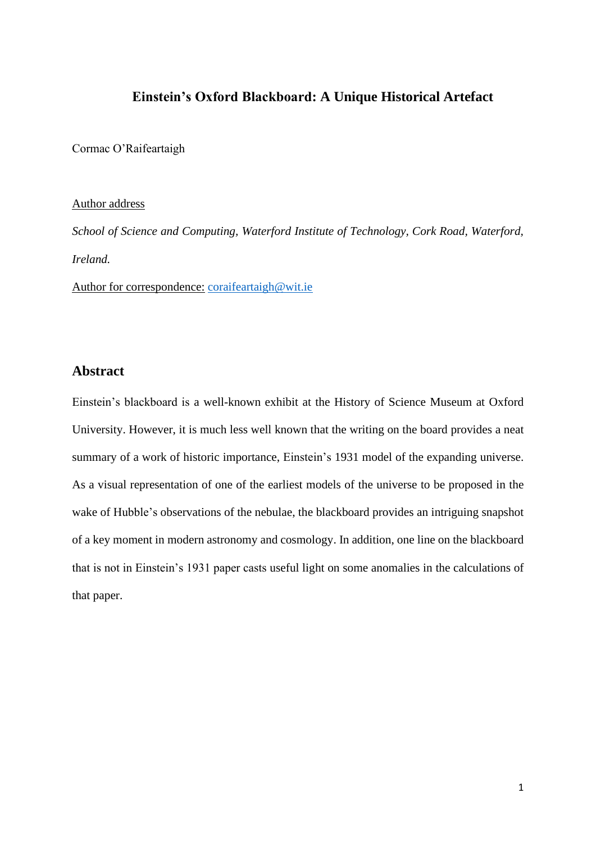# **Einstein's Oxford Blackboard: A Unique Historical Artefact**

Cormac O'Raifeartaigh

#### Author address

*School of Science and Computing, Waterford Institute of Technology, Cork Road, Waterford, Ireland.*

Author for correspondence: [coraifeartaigh@wit.ie](mailto:coraifeartaigh@wit.ie)

# **Abstract**

Einstein's blackboard is a well-known exhibit at the History of Science Museum at Oxford University. However, it is much less well known that the writing on the board provides a neat summary of a work of historic importance, Einstein's 1931 model of the expanding universe. As a visual representation of one of the earliest models of the universe to be proposed in the wake of Hubble's observations of the nebulae, the blackboard provides an intriguing snapshot of a key moment in modern astronomy and cosmology. In addition, one line on the blackboard that is not in Einstein's 1931 paper casts useful light on some anomalies in the calculations of that paper.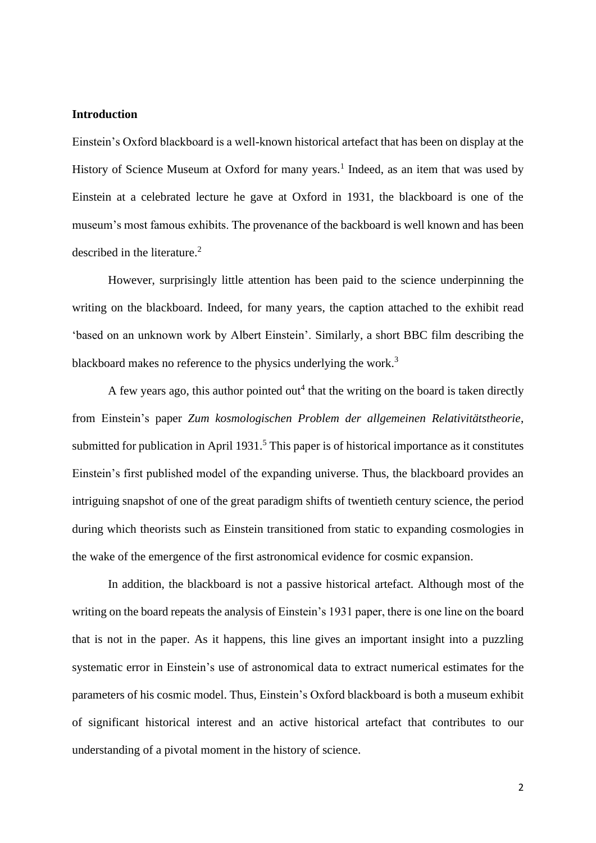## **Introduction**

Einstein's Oxford blackboard is a well-known historical artefact that has been on display at the History of Science Museum at Oxford for many years.<sup>1</sup> Indeed, as an item that was used by Einstein at a celebrated lecture he gave at Oxford in 1931, the blackboard is one of the museum's most famous exhibits. The provenance of the backboard is well known and has been described in the literature.<sup>2</sup>

However, surprisingly little attention has been paid to the science underpinning the writing on the blackboard. Indeed, for many years, the caption attached to the exhibit read 'based on an unknown work by Albert Einstein'. Similarly, a short BBC film describing the blackboard makes no reference to the physics underlying the work.<sup>3</sup>

A few years ago, this author pointed out<sup>4</sup> that the writing on the board is taken directly from Einstein's paper *Zum kosmologischen Problem der allgemeinen Relativitätstheorie*, submitted for publication in April 1931.<sup>5</sup> This paper is of historical importance as it constitutes Einstein's first published model of the expanding universe. Thus, the blackboard provides an intriguing snapshot of one of the great paradigm shifts of twentieth century science, the period during which theorists such as Einstein transitioned from static to expanding cosmologies in the wake of the emergence of the first astronomical evidence for cosmic expansion.

In addition, the blackboard is not a passive historical artefact. Although most of the writing on the board repeats the analysis of Einstein's 1931 paper, there is one line on the board that is not in the paper. As it happens, this line gives an important insight into a puzzling systematic error in Einstein's use of astronomical data to extract numerical estimates for the parameters of his cosmic model. Thus, Einstein's Oxford blackboard is both a museum exhibit of significant historical interest and an active historical artefact that contributes to our understanding of a pivotal moment in the history of science.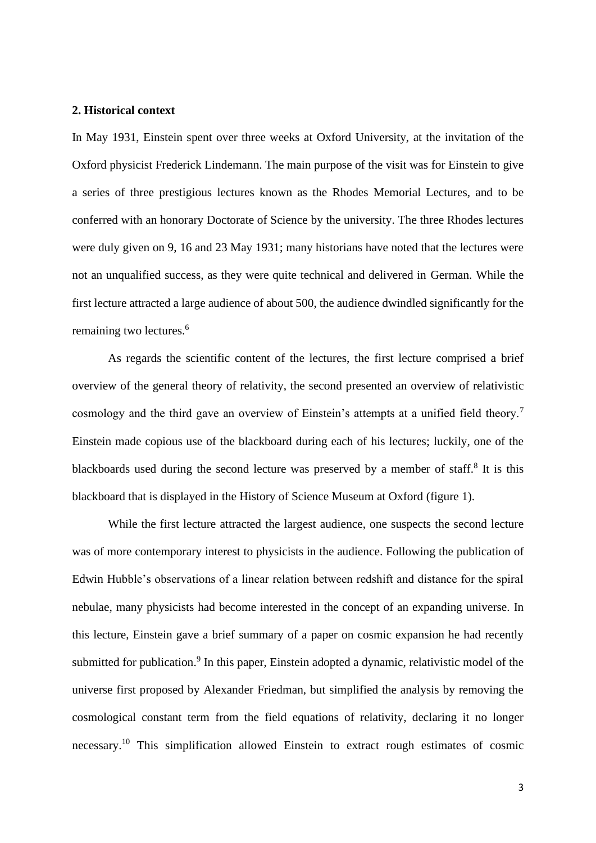#### **2. Historical context**

In May 1931, Einstein spent over three weeks at Oxford University, at the invitation of the Oxford physicist Frederick Lindemann. The main purpose of the visit was for Einstein to give a series of three prestigious lectures known as the Rhodes Memorial Lectures, and to be conferred with an honorary Doctorate of Science by the university. The three Rhodes lectures were duly given on 9, 16 and 23 May 1931; many historians have noted that the lectures were not an unqualified success, as they were quite technical and delivered in German. While the first lecture attracted a large audience of about 500, the audience dwindled significantly for the remaining two lectures.<sup>6</sup>

As regards the scientific content of the lectures, the first lecture comprised a brief overview of the general theory of relativity, the second presented an overview of relativistic cosmology and the third gave an overview of Einstein's attempts at a unified field theory.<sup>7</sup> Einstein made copious use of the blackboard during each of his lectures; luckily, one of the blackboards used during the second lecture was preserved by a member of staff. $8$  It is this blackboard that is displayed in the History of Science Museum at Oxford (figure 1).

While the first lecture attracted the largest audience, one suspects the second lecture was of more contemporary interest to physicists in the audience. Following the publication of Edwin Hubble's observations of a linear relation between redshift and distance for the spiral nebulae, many physicists had become interested in the concept of an expanding universe. In this lecture, Einstein gave a brief summary of a paper on cosmic expansion he had recently submitted for publication.<sup>9</sup> In this paper, Einstein adopted a dynamic, relativistic model of the universe first proposed by Alexander Friedman, but simplified the analysis by removing the cosmological constant term from the field equations of relativity, declaring it no longer necessary.<sup>10</sup> This simplification allowed Einstein to extract rough estimates of cosmic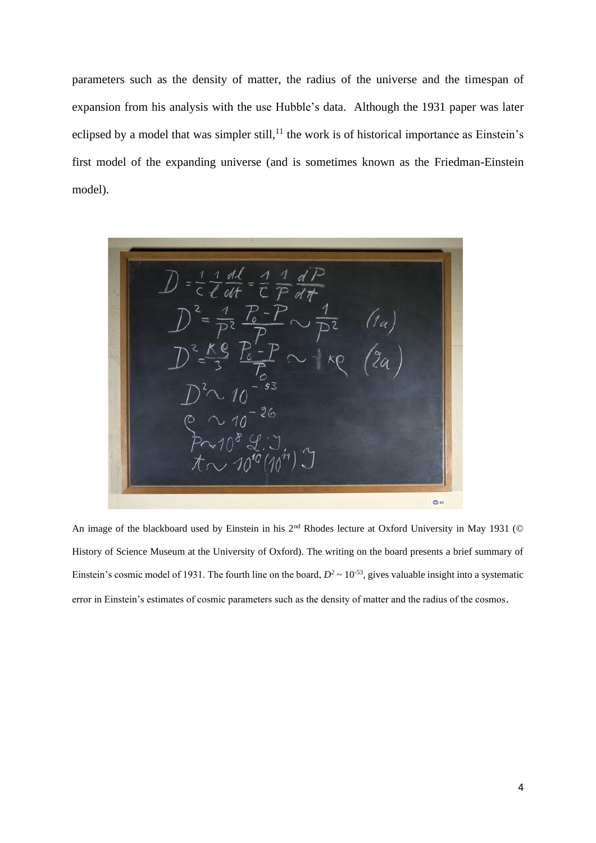parameters such as the density of matter, the radius of the universe and the timespan of expansion from his analysis with the use Hubble's data. Although the 1931 paper was later eclipsed by a model that was simpler still,<sup>11</sup> the work is of historical importance as Einstein's first model of the expanding universe (and is sometimes known as the Friedman-Einstein model).

 $\frac{1}{\ell} \frac{d\ell}{dt}$  $=\frac{1}{r}\frac{1}{r}$  $Q = 40$ 

An image of the blackboard used by Einstein in his 2<sup>nd</sup> Rhodes lecture at Oxford University in May 1931 (© History of Science Museum at the University of Oxford). The writing on the board presents a brief summary of Einstein's cosmic model of 1931. The fourth line on the board,  $D^2 \sim 10^{-53}$ , gives valuable insight into a systematic error in Einstein's estimates of cosmic parameters such as the density of matter and the radius of the cosmos.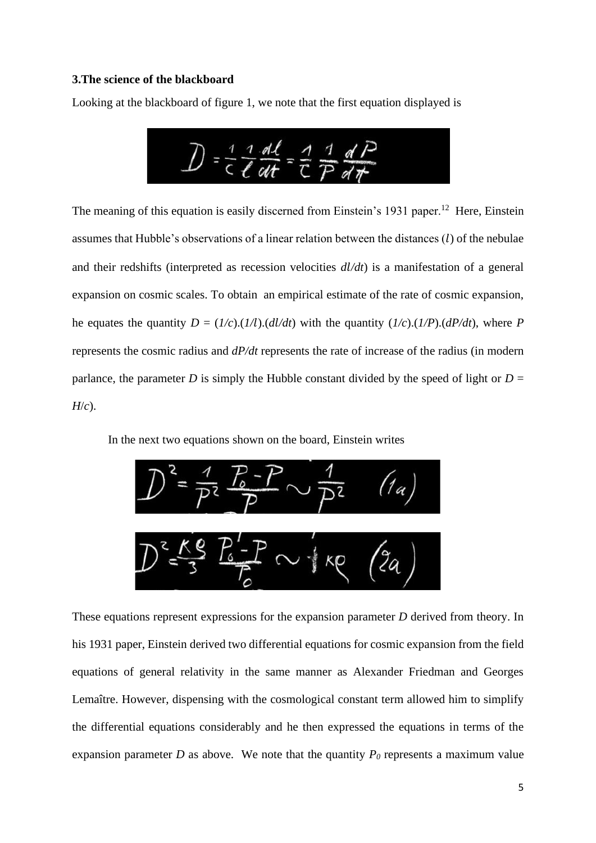#### **3.The science of the blackboard**

Looking at the blackboard of figure 1, we note that the first equation displayed is



The meaning of this equation is easily discerned from Einstein's 1931 paper.<sup>12</sup> Here, Einstein assumes that Hubble's observations of a linear relation between the distances  $(l)$  of the nebulae and their redshifts (interpreted as recession velocities *d/dt*) is a manifestation of a general expansion on cosmic scales. To obtain an empirical estimate of the rate of cosmic expansion, he equates the quantity  $D = (1/c)$ .( $1/l$ ).( $d l/d t$ ) with the quantity ( $1/c$ ).( $1/P$ ).( $dP/d t$ ), where *P* represents the cosmic radius and *dP/dt* represents the rate of increase of the radius (in modern parlance, the parameter *D* is simply the Hubble constant divided by the speed of light or  $D =$ *H*/*c*).

In the next two equations shown on the board, Einstein writes



These equations represent expressions for the expansion parameter *D* derived from theory. In his 1931 paper, Einstein derived two differential equations for cosmic expansion from the field equations of general relativity in the same manner as Alexander Friedman and Georges Lemaître. However, dispensing with the cosmological constant term allowed him to simplify the differential equations considerably and he then expressed the equations in terms of the expansion parameter *D* as above. We note that the quantity  $P_0$  represents a maximum value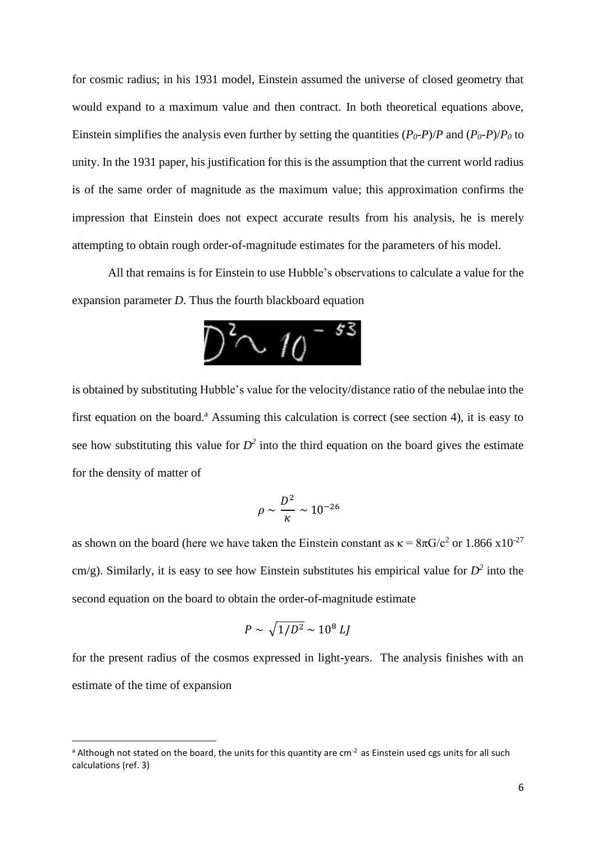for cosmic radius; in his 1931 model, Einstein assumed the universe of closed geometry that would expand to a maximum value and then contract. In both theoretical equations above, Einstein simplifies the analysis even further by setting the quantities  $(P_0-P)/P$  and  $(P_0-P)/P_0$  to unity. In the 1931 paper, his justification for this is the assumption that the current world radius is of the same order of magnitude as the maximum value; this approximation confirms the impression that Einstein does not expect accurate results from his analysis, he is merely attempting to obtain rough order-of-magnitude estimates for the parameters of his model.

All that remains is for Einstein to use Hubble's observations to calculate a value for the expansion parameter *D*. Thus the fourth blackboard equation



is obtained by substituting Hubble's value for the velocity/distance ratio of the nebulae into the first equation on the board.<sup>a</sup> Assuming this calculation is correct (see section 4), it is easy to see how substituting this value for  $D^2$  into the third equation on the board gives the estimate for the density of matter of

$$
\rho \sim \frac{D^2}{\kappa} \sim 10^{-26}
$$

as shown on the board (here we have taken the Einstein constant as  $\kappa = 8\pi G/c^2$  or 1.866 x10<sup>-27</sup> cm/g). Similarly, it is easy to see how Einstein substitutes his empirical value for  $D^2$  into the second equation on the board to obtain the order-of-magnitude estimate

$$
P \sim \sqrt{1/D^2} \sim 10^8 \; LJ
$$

for the present radius of the cosmos expressed in light-years. The analysis finishes with an estimate of the time of expansion

<sup>&</sup>lt;sup>a</sup> Although not stated on the board, the units for this quantity are cm<sup>-2</sup> as Einstein used cgs units for all such calculations (ref. 3)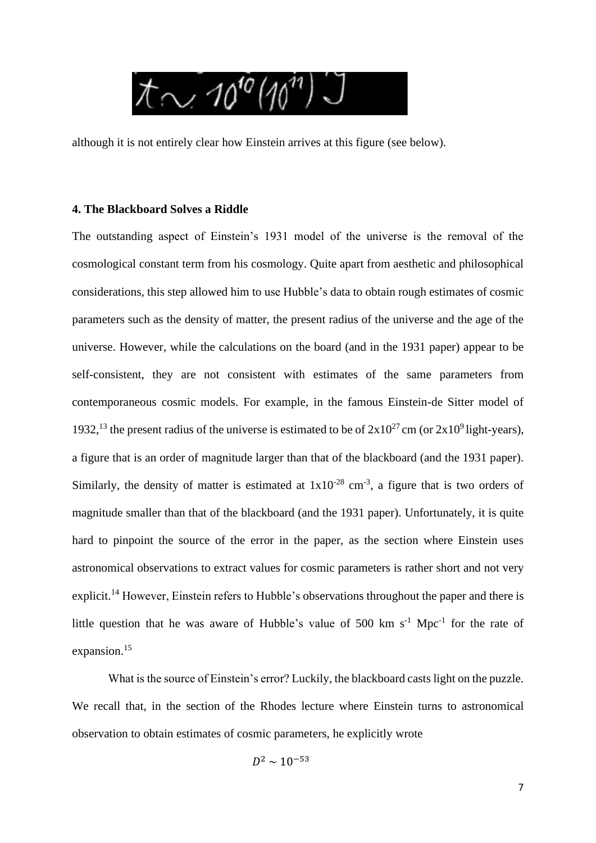

although it is not entirely clear how Einstein arrives at this figure (see below).

### **4. The Blackboard Solves a Riddle**

The outstanding aspect of Einstein's 1931 model of the universe is the removal of the cosmological constant term from his cosmology. Quite apart from aesthetic and philosophical considerations, this step allowed him to use Hubble's data to obtain rough estimates of cosmic parameters such as the density of matter, the present radius of the universe and the age of the universe. However, while the calculations on the board (and in the 1931 paper) appear to be self-consistent, they are not consistent with estimates of the same parameters from contemporaneous cosmic models. For example, in the famous Einstein-de Sitter model of 1932,<sup>13</sup> the present radius of the universe is estimated to be of  $2x10^{27}$ cm (or  $2x10^9$  light-years), a figure that is an order of magnitude larger than that of the blackboard (and the 1931 paper). Similarly, the density of matter is estimated at  $1x10^{-28}$  cm<sup>-3</sup>, a figure that is two orders of magnitude smaller than that of the blackboard (and the 1931 paper). Unfortunately, it is quite hard to pinpoint the source of the error in the paper, as the section where Einstein uses astronomical observations to extract values for cosmic parameters is rather short and not very explicit.<sup>14</sup> However, Einstein refers to Hubble's observations throughout the paper and there is little question that he was aware of Hubble's value of 500 km  $s^{-1}$  Mpc<sup>-1</sup> for the rate of expansion.<sup>15</sup>

What is the source of Einstein's error? Luckily, the blackboard casts light on the puzzle. We recall that, in the section of the Rhodes lecture where Einstein turns to astronomical observation to obtain estimates of cosmic parameters, he explicitly wrote

$$
D^2 \sim 10^{-53}
$$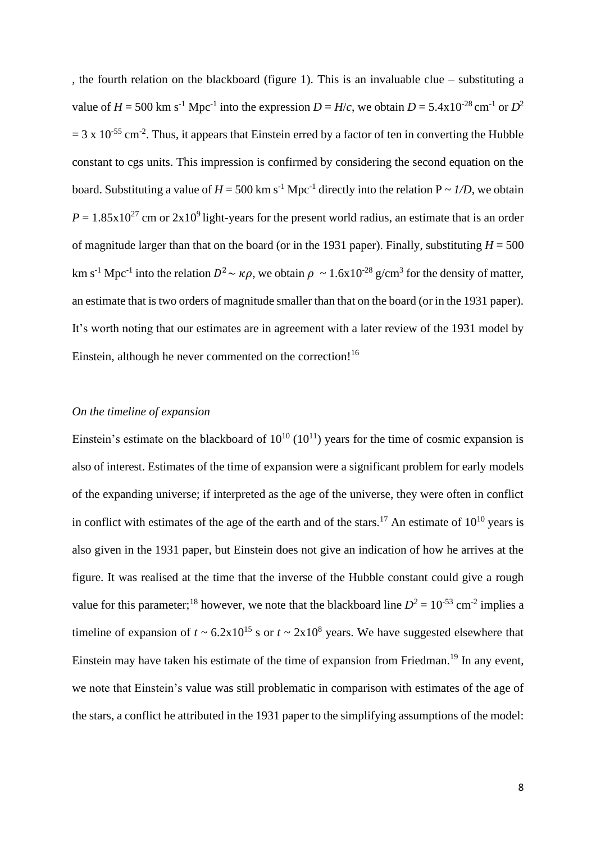, the fourth relation on the blackboard (figure 1). This is an invaluable clue – substituting a value of  $H = 500$  km s<sup>-1</sup> Mpc<sup>-1</sup> into the expression  $D = H/c$ , we obtain  $D = 5.4 \times 10^{-28}$  cm<sup>-1</sup> or  $D^2$  $= 3 \times 10^{-55}$  cm<sup>-2</sup>. Thus, it appears that Einstein erred by a factor of ten in converting the Hubble constant to cgs units. This impression is confirmed by considering the second equation on the board. Substituting a value of  $H = 500 \text{ km s}^{-1} \text{ Mpc}^{-1}$  directly into the relation  $P \sim I/D$ , we obtain  $P = 1.85 \times 10^{27}$  cm or  $2 \times 10^{9}$  light-years for the present world radius, an estimate that is an order of magnitude larger than that on the board (or in the 1931 paper). Finally, substituting  $H = 500$ km s<sup>-1</sup> Mpc<sup>-1</sup> into the relation  $D^2 \sim \kappa \rho$ , we obtain  $\rho \sim 1.6x10^{-28}$  g/cm<sup>3</sup> for the density of matter, an estimate that is two orders of magnitude smaller than that on the board (or in the 1931 paper). It's worth noting that our estimates are in agreement with a later review of the 1931 model by Einstein, although he never commented on the correction!<sup>16</sup>

# *On the timeline of expansion*

Einstein's estimate on the blackboard of  $10^{10}$  ( $10^{11}$ ) years for the time of cosmic expansion is also of interest. Estimates of the time of expansion were a significant problem for early models of the expanding universe; if interpreted as the age of the universe, they were often in conflict in conflict with estimates of the age of the earth and of the stars.<sup>17</sup> An estimate of  $10^{10}$  years is also given in the 1931 paper, but Einstein does not give an indication of how he arrives at the figure. It was realised at the time that the inverse of the Hubble constant could give a rough value for this parameter;<sup>18</sup> however, we note that the blackboard line  $D^2 = 10^{-53}$  cm<sup>-2</sup> implies a timeline of expansion of  $t \sim 6.2 \times 10^{15}$  s or  $t \sim 2 \times 10^8$  years. We have suggested elsewhere that Einstein may have taken his estimate of the time of expansion from Friedman.<sup>19</sup> In any event, we note that Einstein's value was still problematic in comparison with estimates of the age of the stars, a conflict he attributed in the 1931 paper to the simplifying assumptions of the model: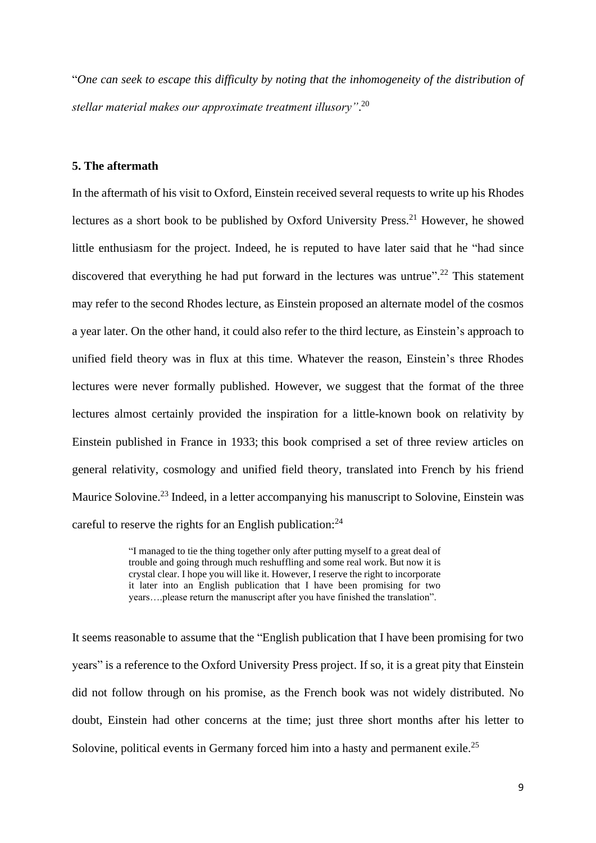"*One can seek to escape this difficulty by noting that the inhomogeneity of the distribution of stellar material makes our approximate treatment illusory"*. 20

### **5. The aftermath**

In the aftermath of his visit to Oxford, Einstein received several requests to write up his Rhodes lectures as a short book to be published by Oxford University Press.<sup>21</sup> However, he showed little enthusiasm for the project. Indeed, he is reputed to have later said that he "had since discovered that everything he had put forward in the lectures was untrue".<sup>22</sup> This statement may refer to the second Rhodes lecture, as Einstein proposed an alternate model of the cosmos a year later. On the other hand, it could also refer to the third lecture, as Einstein's approach to unified field theory was in flux at this time. Whatever the reason, Einstein's three Rhodes lectures were never formally published. However, we suggest that the format of the three lectures almost certainly provided the inspiration for a little-known book on relativity by Einstein published in France in 1933; this book comprised a set of three review articles on general relativity, cosmology and unified field theory, translated into French by his friend Maurice Solovine.<sup>23</sup> Indeed, in a letter accompanying his manuscript to Solovine, Einstein was careful to reserve the rights for an English publication:<sup>24</sup>

> "I managed to tie the thing together only after putting myself to a great deal of trouble and going through much reshuffling and some real work. But now it is crystal clear. I hope you will like it. However, I reserve the right to incorporate it later into an English publication that I have been promising for two years….please return the manuscript after you have finished the translation".

It seems reasonable to assume that the "English publication that I have been promising for two years" is a reference to the Oxford University Press project. If so, it is a great pity that Einstein did not follow through on his promise, as the French book was not widely distributed. No doubt, Einstein had other concerns at the time; just three short months after his letter to Solovine, political events in Germany forced him into a hasty and permanent exile.<sup>25</sup>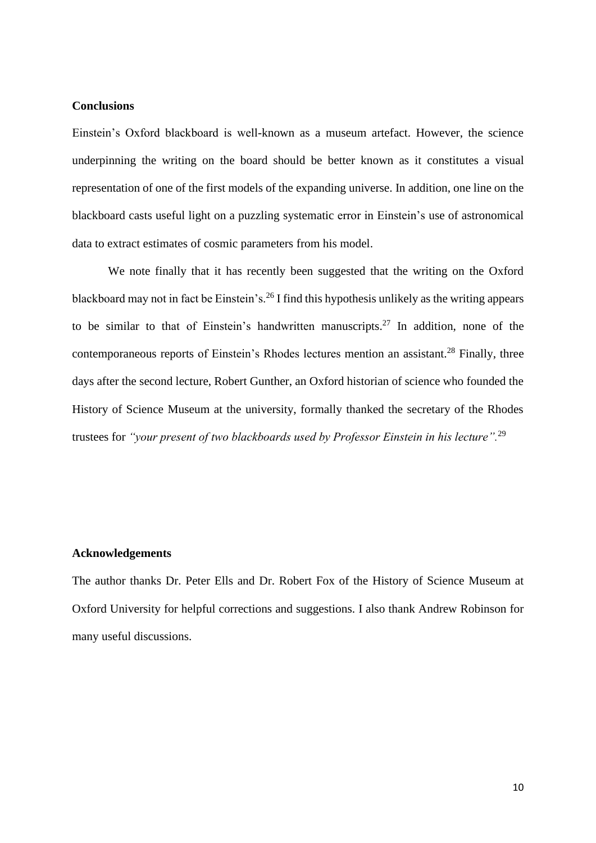## **Conclusions**

Einstein's Oxford blackboard is well-known as a museum artefact. However, the science underpinning the writing on the board should be better known as it constitutes a visual representation of one of the first models of the expanding universe. In addition, one line on the blackboard casts useful light on a puzzling systematic error in Einstein's use of astronomical data to extract estimates of cosmic parameters from his model.

We note finally that it has recently been suggested that the writing on the Oxford blackboard may not in fact be Einstein's.<sup>26</sup> I find this hypothesis unlikely as the writing appears to be similar to that of Einstein's handwritten manuscripts.<sup>27</sup> In addition, none of the contemporaneous reports of Einstein's Rhodes lectures mention an assistant.<sup>28</sup> Finally, three days after the second lecture, Robert Gunther, an Oxford historian of science who founded the History of Science Museum at the university, formally thanked the secretary of the Rhodes trustees for *"your present of two blackboards used by Professor Einstein in his lecture".*<sup>29</sup>

#### **Acknowledgements**

The author thanks Dr. Peter Ells and Dr. Robert Fox of the History of Science Museum at Oxford University for helpful corrections and suggestions. I also thank Andrew Robinson for many useful discussions.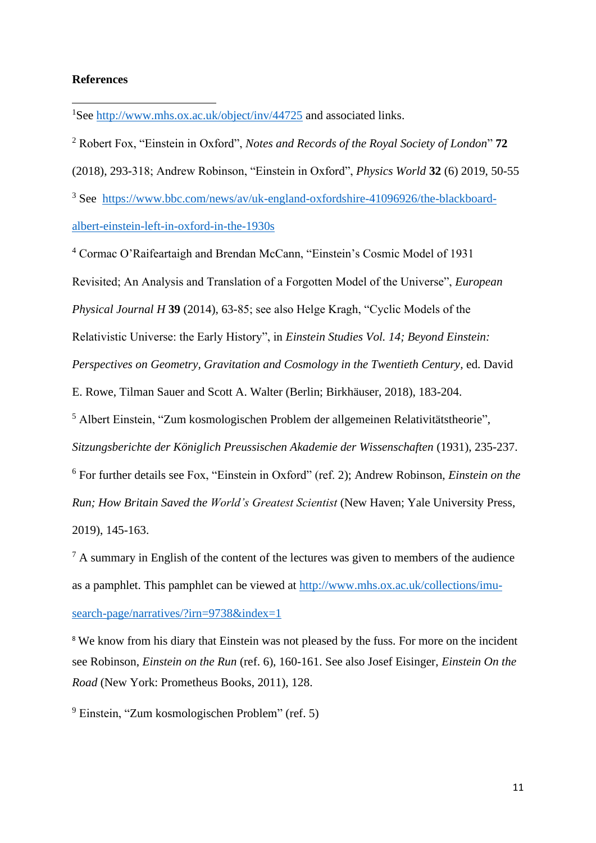### **References**

<sup>1</sup>See <http://www.mhs.ox.ac.uk/object/inv/44725> and associated links.

<sup>2</sup> Robert Fox, "Einstein in Oxford", *Notes and Records of the Royal Society of London*" **72** (2018), 293-318; Andrew Robinson, "Einstein in Oxford", *Physics World* **32** (6) 2019, 50-55 <sup>3</sup> See [https://www.bbc.com/news/av/uk-england-oxfordshire-41096926/the-blackboard-](https://www.bbc.com/news/av/uk-england-oxfordshire-41096926/the-blackboard-albert-einstein-left-in-oxford-in-the-1930s)

[albert-einstein-left-in-oxford-in-the-1930s](https://www.bbc.com/news/av/uk-england-oxfordshire-41096926/the-blackboard-albert-einstein-left-in-oxford-in-the-1930s)

<sup>4</sup> Cormac O'Raifeartaigh and Brendan McCann, "Einstein's Cosmic Model of 1931 Revisited; An Analysis and Translation of a Forgotten Model of the Universe", *European Physical Journal H* **39** (2014), 63-85; see also Helge Kragh, "Cyclic Models of the Relativistic Universe: the Early History", in *Einstein Studies Vol. 14; Beyond Einstein: Perspectives on Geometry, Gravitation and Cosmology in the Twentieth Century,* ed. David E. Rowe, Tilman Sauer and Scott A. Walter (Berlin; Birkhäuser, 2018), 183-204. <sup>5</sup> Albert Einstein, "Zum kosmologischen Problem der allgemeinen Relativitätstheorie", *Sitzungsberichte der Königlich Preussischen Akademie der Wissenschaften* (1931), 235-237. <sup>6</sup> For further details see Fox, "Einstein in Oxford" (ref. 2); Andrew Robinson, *Einstein on the Run; How Britain Saved the World's Greatest Scientist* (New Haven; Yale University Press, 2019), 145-163.

 $<sup>7</sup>$  A summary in English of the content of the lectures was given to members of the audience</sup> as a pamphlet. This pamphlet can be viewed at [http://www.mhs.ox.ac.uk/collections/imu](http://www.mhs.ox.ac.uk/collections/imu-search-page/narratives/?irn=9738&index=1)[search-page/narratives/?irn=9738&index=1](http://www.mhs.ox.ac.uk/collections/imu-search-page/narratives/?irn=9738&index=1)

<sup>8</sup> We know from his diary that Einstein was not pleased by the fuss. For more on the incident see Robinson, *Einstein on the Run* (ref. 6), 160-161. See also Josef Eisinger, *Einstein On the Road* (New York: Prometheus Books, 2011), 128.

<sup>9</sup> Einstein, "Zum kosmologischen Problem" (ref. 5)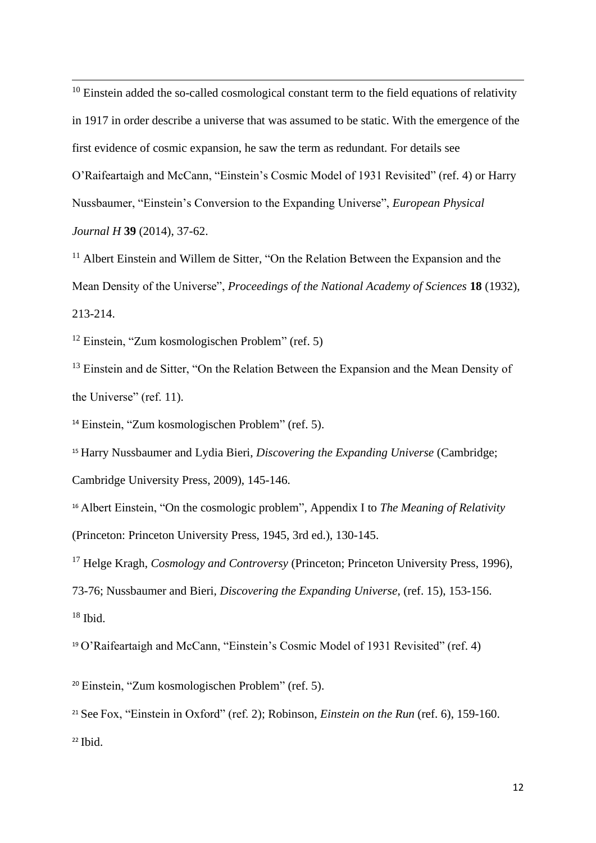$10$  Einstein added the so-called cosmological constant term to the field equations of relativity in 1917 in order describe a universe that was assumed to be static. With the emergence of the first evidence of cosmic expansion, he saw the term as redundant. For details see O'Raifeartaigh and McCann, "Einstein's Cosmic Model of 1931 Revisited" (ref. 4) or Harry Nussbaumer, "Einstein's Conversion to the Expanding Universe", *European Physical Journal H* **39** (2014), 37-62.

 $11$  Albert Einstein and Willem de Sitter, "On the Relation Between the Expansion and the Mean Density of the Universe", *Proceedings of the National Academy of Sciences* **18** (1932), 213-214.

<sup>12</sup> Einstein, "Zum kosmologischen Problem" (ref. 5)

<sup>13</sup> Einstein and de Sitter, "On the Relation Between the Expansion and the Mean Density of the Universe" (ref. 11).

<sup>14</sup> Einstein, "Zum kosmologischen Problem" (ref. 5).

<sup>15</sup> Harry Nussbaumer and Lydia Bieri, *Discovering the Expanding Universe* (Cambridge;

Cambridge University Press, 2009), 145-146.

<sup>16</sup> Albert Einstein, "On the cosmologic problem", Appendix I to *The Meaning of Relativity* (Princeton: Princeton University Press, 1945, 3rd ed.), 130-145.

<sup>17</sup> Helge Kragh, *Cosmology and Controversy* (Princeton; Princeton University Press, 1996),

73-76; Nussbaumer and Bieri, *Discovering the Expanding Universe*, (ref. 15), 153-156.

 $18$  Ibid.

<sup>19</sup> O'Raifeartaigh and McCann, "Einstein's Cosmic Model of 1931 Revisited" (ref. 4)

<sup>20</sup> Einstein, "Zum kosmologischen Problem" (ref. 5).

<sup>21</sup> See Fox, "Einstein in Oxford" (ref. 2); Robinson, *Einstein on the Run* (ref. 6), 159-160.  $22$  Ibid.